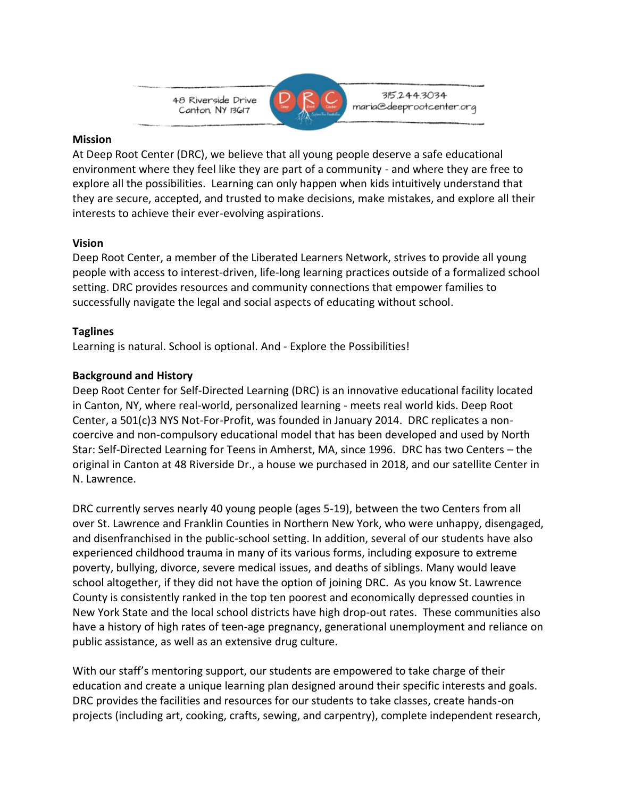



315.244.3034 maria@deeprootcenter.org

### **Mission**

At Deep Root Center (DRC), we believe that all young people deserve a safe educational environment where they feel like they are part of a community - and where they are free to explore all the possibilities. Learning can only happen when kids intuitively understand that they are secure, accepted, and trusted to make decisions, make mistakes, and explore all their interests to achieve their ever-evolving aspirations.

# **Vision**

Deep Root Center, a member of the Liberated Learners Network, strives to provide all young people with access to interest-driven, life-long learning practices outside of a formalized school setting. DRC provides resources and community connections that empower families to successfully navigate the legal and social aspects of educating without school.

# **Taglines**

Learning is natural. School is optional. And - Explore the Possibilities!

# **Background and History**

Deep Root Center for Self-Directed Learning (DRC) is an innovative educational facility located in Canton, NY, where real-world, personalized learning - meets real world kids. Deep Root Center, a 501(c)3 NYS Not-For-Profit, was founded in January 2014. DRC replicates a noncoercive and non-compulsory educational model that has been developed and used by North Star: Self-Directed Learning for Teens in Amherst, MA, since 1996. DRC has two Centers – the original in Canton at 48 Riverside Dr., a house we purchased in 2018, and our satellite Center in N. Lawrence.

DRC currently serves nearly 40 young people (ages 5-19), between the two Centers from all over St. Lawrence and Franklin Counties in Northern New York, who were unhappy, disengaged, and disenfranchised in the public-school setting. In addition, several of our students have also experienced childhood trauma in many of its various forms, including exposure to extreme poverty, bullying, divorce, severe medical issues, and deaths of siblings. Many would leave school altogether, if they did not have the option of joining DRC. As you know St. Lawrence County is consistently ranked in the top ten poorest and economically depressed counties in New York State and the local school districts have high drop-out rates. These communities also have a history of high rates of teen-age pregnancy, generational unemployment and reliance on public assistance, as well as an extensive drug culture.

With our staff's mentoring support, our students are empowered to take charge of their education and create a unique learning plan designed around their specific interests and goals. DRC provides the facilities and resources for our students to take classes, create hands-on projects (including art, cooking, crafts, sewing, and carpentry), complete independent research,